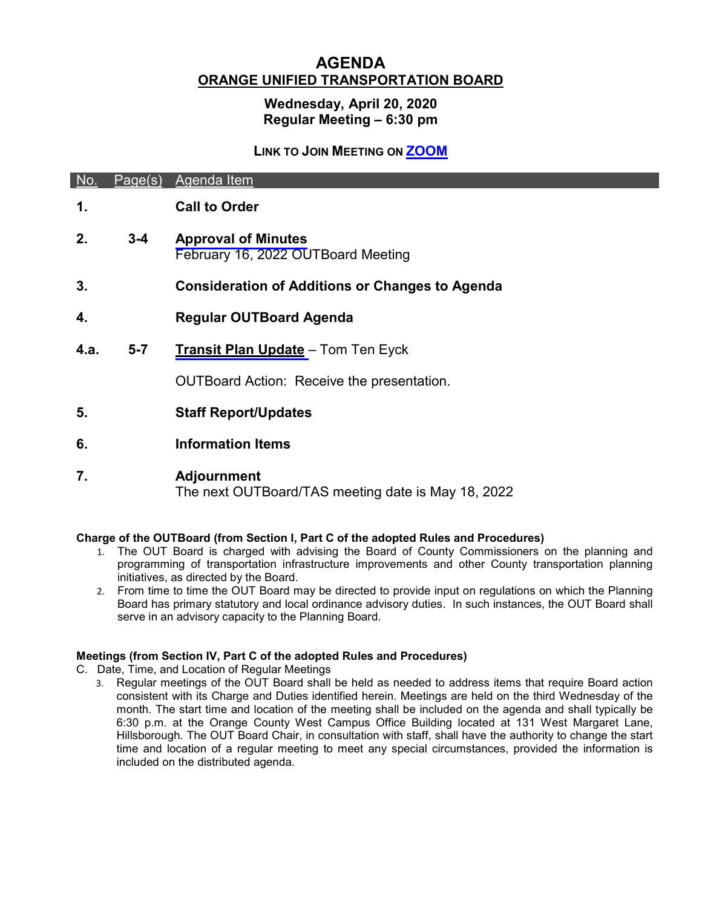# **AGENDA ORANGE UNIFIED TRANSPORTATION BOARD**

# **Wednesday, April 20, 2020 Regular Meeting – 6:30 pm**

### **LINK TO JOIN MEETING ON [ZOOM](https://orangecountync.zoom.us/j/89674613390?pwd=WlhaaXdZK0YzTVBONFQ1R25GZXhBQT09)**

| No.  |         | Page(s) Agenda Item                                              |
|------|---------|------------------------------------------------------------------|
| 1.   |         | <b>Call to Order</b>                                             |
| 2.   | $3 - 4$ | <b>Approval of Minutes</b><br>February 16, 2022 OUTBoard Meeting |
| 3.   |         | <b>Consideration of Additions or Changes to Agenda</b>           |
| 4.   |         | <b>Regular OUTBoard Agenda</b>                                   |
| 4.a. | $5-7$   | <b>Transit Plan Update</b> - Tom Ten Eyck                        |
|      |         | <b>OUTBoard Action: Receive the presentation.</b>                |
| 5.   |         | <b>Staff Report/Updates</b>                                      |
| 6.   |         | <b>Information Items</b>                                         |
| 7.   |         | <b>Adjournment</b>                                               |

The next OUTBoard/TAS meeting date is May 18, 2022

# **Charge of the OUTBoard (from Section I, Part C of the adopted Rules and Procedures)**

- 1. The OUT Board is charged with advising the Board of County Commissioners on the planning and programming of transportation infrastructure improvements and other County transportation planning initiatives, as directed by the Board.
- 2. From time to time the OUT Board may be directed to provide input on regulations on which the Planning Board has primary statutory and local ordinance advisory duties. In such instances, the OUT Board shall serve in an advisory capacity to the Planning Board.

# **Meetings (from Section IV, Part C of the adopted Rules and Procedures)**

- C. Date, Time, and Location of Regular Meetings
	- 3. Regular meetings of the OUT Board shall be held as needed to address items that require Board action consistent with its Charge and Duties identified herein. Meetings are held on the third Wednesday of the month. The start time and location of the meeting shall be included on the agenda and shall typically be 6:30 p.m. at the Orange County West Campus Office Building located at 131 West Margaret Lane, Hillsborough. The OUT Board Chair, in consultation with staff, shall have the authority to change the start time and location of a regular meeting to meet any special circumstances, provided the information is included on the distributed agenda.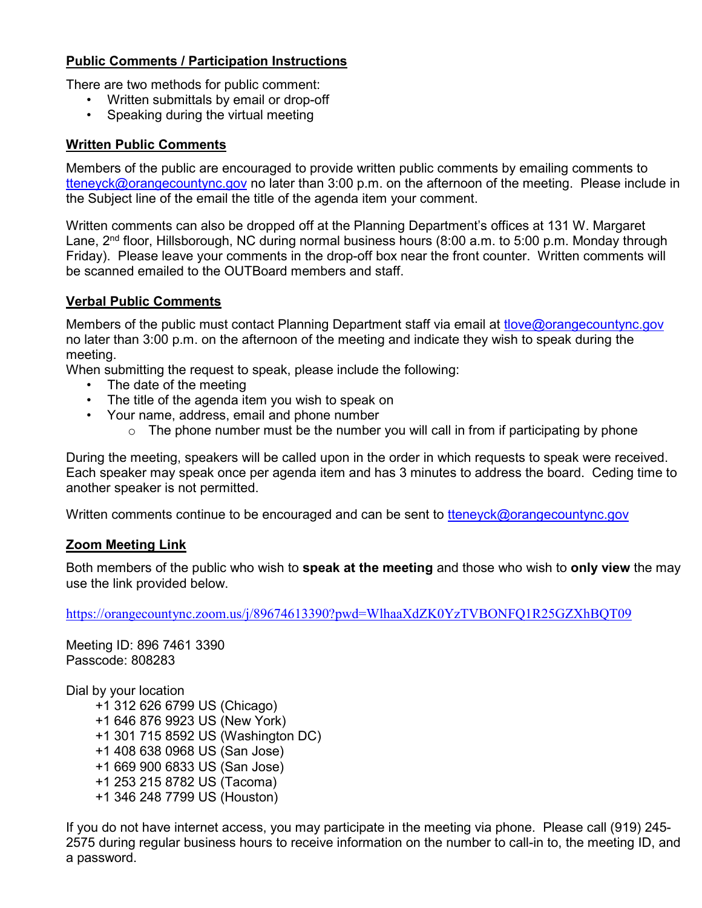# **Public Comments / Participation Instructions**

There are two methods for public comment:

- Written submittals by email or drop-off
- Speaking during the virtual meeting

### **Written Public Comments**

Members of the public are encouraged to provide written public comments by emailing comments to tteneyck@ora[ngecountync.gov](mailto:tteneyck@orangecountync.gov) no later than 3:00 p.m. on the afternoon of the meeting. Please include in the Subject line of the email the title of the agenda item your comment.

Written comments can also be dropped off at the Planning Department's offices at 131 W. Margaret Lane, 2<sup>nd</sup> floor, Hillsborough, NC during normal business hours (8:00 a.m. to 5:00 p.m. Monday through Friday). Please leave your comments in the drop-off box near the front counter. Written comments will be scanned emailed to the OUTBoard members and staff.

#### **Verbal Public Comments**

Members of the public must contact Planning Department staff via email at tlove@orangecountync.gov no later than 3:00 p.m. on the afternoon of the meeting and indicate they wish to speak during the meeting.

When submitting the request to speak, please include the following:

- [The date of the meeting](mailto:tlove@orangecountync.gov)
- The title of the agenda item you wish to speak on
- Your name, address, email and phone number
	- $\circ$  The phone number must be the number you will call in from if participating by phone

During the meeting, speakers will be called upon in the order in which requests to speak were received. Each speaker may speak once per agenda item and has 3 minutes to address the board. Ceding time to another speaker is not permitted.

Written comments continue to be encouraged and can be sent to tteneyck@orangecountync.gov

#### **Zoom Meeting Link**

Both members of the public who wish to **speak at the meeting** and those who wish to **only view** the may [use the link provided below.](mailto:tteneyck@orangecountync.gov)

https://orangecountync.zoom.us/j/89674613390?pwd=WlhaaXdZK0YzTVBONFQ1R25GZXhBQT09

Meeting ID: 896 7461 3390 Passcode: 808283

Dial by your location

 [+1 312 626 6799 US \(Chicago\)](https://orangecountync.zoom.us/j/89674613390?pwd=WlhaaXdZK0YzTVBONFQ1R25GZXhBQT09)  [+1 64](https://orangecountync.zoom.us/j/89674613390?pwd=WlhaaXdZK0YzTVBONFQ1R25GZXhBQT09)6 876 9923 US (New York) +1 301 715 8592 US (Washington DC) +1 408 638 0968 US (San Jose) +1 669 900 6833 US (San Jose) +1 253 215 8782 US (Tacoma) +1 346 248 7799 US (Houston)

If you do not have internet access, you may participate in the meeting via phone. Please call (919) 245- 2575 during regular business hours to receive information on the number to call-in to, the meeting ID, and a password.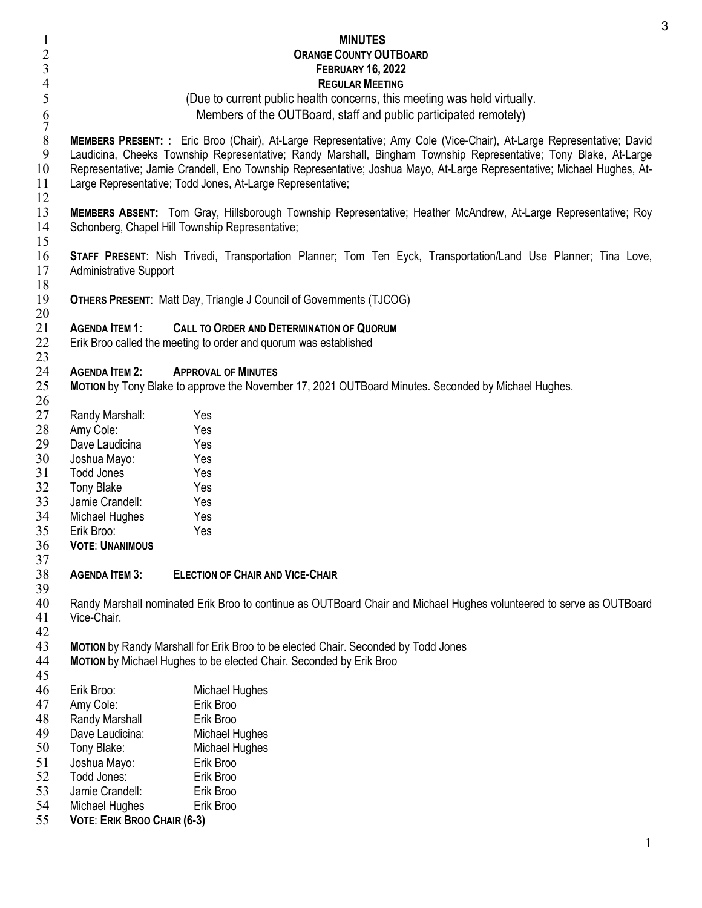<span id="page-2-0"></span>

| $\overline{c}$    |                                                                                                                                                                                                                                                                                                                                                                    | <b>MINUTES</b><br><b>ORANGE COUNTY OUTBOARD</b>                                                                                                           |  |  |
|-------------------|--------------------------------------------------------------------------------------------------------------------------------------------------------------------------------------------------------------------------------------------------------------------------------------------------------------------------------------------------------------------|-----------------------------------------------------------------------------------------------------------------------------------------------------------|--|--|
| 3                 | <b>FEBRUARY 16, 2022</b>                                                                                                                                                                                                                                                                                                                                           |                                                                                                                                                           |  |  |
| $\overline{4}$    |                                                                                                                                                                                                                                                                                                                                                                    | <b>REGULAR MEETING</b>                                                                                                                                    |  |  |
| $\mathfrak s$     | (Due to current public health concerns, this meeting was held virtually.                                                                                                                                                                                                                                                                                           |                                                                                                                                                           |  |  |
| $\frac{6}{7}$     | Members of the OUTBoard, staff and public participated remotely)                                                                                                                                                                                                                                                                                                   |                                                                                                                                                           |  |  |
| $\, 8$<br>9<br>10 | MEMBERS PRESENT: : Eric Broo (Chair), At-Large Representative; Amy Cole (Vice-Chair), At-Large Representative; David<br>Laudicina, Cheeks Township Representative; Randy Marshall, Bingham Township Representative; Tony Blake, At-Large<br>Representative; Jamie Crandell, Eno Township Representative; Joshua Mayo, At-Large Representative; Michael Hughes, At- |                                                                                                                                                           |  |  |
| 11<br>12          | Large Representative; Todd Jones, At-Large Representative;                                                                                                                                                                                                                                                                                                         |                                                                                                                                                           |  |  |
| 13<br>14<br>15    | Schonberg, Chapel Hill Township Representative;                                                                                                                                                                                                                                                                                                                    | MEMBERS ABSENT: Tom Gray, Hillsborough Township Representative; Heather McAndrew, At-Large Representative; Roy                                            |  |  |
| 16<br>17<br>18    | STAFF PRESENT: Nish Trivedi, Transportation Planner; Tom Ten Eyck, Transportation/Land Use Planner; Tina Love,<br><b>Administrative Support</b>                                                                                                                                                                                                                    |                                                                                                                                                           |  |  |
| 19<br>20          |                                                                                                                                                                                                                                                                                                                                                                    | <b>OTHERS PRESENT: Matt Day, Triangle J Council of Governments (TJCOG)</b>                                                                                |  |  |
| 21<br>22<br>23    | <b>AGENDA ITEM 1:</b>                                                                                                                                                                                                                                                                                                                                              | <b>CALL TO ORDER AND DETERMINATION OF QUORUM</b><br>Erik Broo called the meeting to order and quorum was established                                      |  |  |
| 24                | <b>AGENDA ITEM 2:</b>                                                                                                                                                                                                                                                                                                                                              | <b>APPROVAL OF MINUTES</b>                                                                                                                                |  |  |
| 25<br>26          |                                                                                                                                                                                                                                                                                                                                                                    | MOTION by Tony Blake to approve the November 17, 2021 OUTBoard Minutes. Seconded by Michael Hughes.                                                       |  |  |
| 27                | Randy Marshall:                                                                                                                                                                                                                                                                                                                                                    | Yes                                                                                                                                                       |  |  |
| 28                | Amy Cole:                                                                                                                                                                                                                                                                                                                                                          | Yes                                                                                                                                                       |  |  |
| 29                | Dave Laudicina                                                                                                                                                                                                                                                                                                                                                     | Yes                                                                                                                                                       |  |  |
| 30                | Joshua Mayo:                                                                                                                                                                                                                                                                                                                                                       | Yes                                                                                                                                                       |  |  |
| 31                | Todd Jones                                                                                                                                                                                                                                                                                                                                                         | Yes                                                                                                                                                       |  |  |
| 32                | Tony Blake                                                                                                                                                                                                                                                                                                                                                         | Yes                                                                                                                                                       |  |  |
| 33                | Jamie Crandell:                                                                                                                                                                                                                                                                                                                                                    | Yes                                                                                                                                                       |  |  |
| 34                | Michael Hughes                                                                                                                                                                                                                                                                                                                                                     | Yes                                                                                                                                                       |  |  |
| 35                | Erik Broo:                                                                                                                                                                                                                                                                                                                                                         | Yes                                                                                                                                                       |  |  |
| 36<br>37          | <b>VOTE: UNANIMOUS</b>                                                                                                                                                                                                                                                                                                                                             |                                                                                                                                                           |  |  |
| 38<br>39          | <b>AGENDA ITEM 3:</b>                                                                                                                                                                                                                                                                                                                                              | <b>ELECTION OF CHAIR AND VICE-CHAIR</b>                                                                                                                   |  |  |
| 40<br>41<br>42    | Vice-Chair.                                                                                                                                                                                                                                                                                                                                                        | Randy Marshall nominated Erik Broo to continue as OUTBoard Chair and Michael Hughes volunteered to serve as OUTBoard                                      |  |  |
| 43<br>44          |                                                                                                                                                                                                                                                                                                                                                                    | MOTION by Randy Marshall for Erik Broo to be elected Chair. Seconded by Todd Jones<br>MOTION by Michael Hughes to be elected Chair. Seconded by Erik Broo |  |  |
| 45                |                                                                                                                                                                                                                                                                                                                                                                    |                                                                                                                                                           |  |  |
| 46                | Erik Broo:                                                                                                                                                                                                                                                                                                                                                         | Michael Hughes                                                                                                                                            |  |  |
| 47                | Amy Cole:                                                                                                                                                                                                                                                                                                                                                          | Erik Broo                                                                                                                                                 |  |  |
| 48                | Randy Marshall                                                                                                                                                                                                                                                                                                                                                     | Erik Broo                                                                                                                                                 |  |  |
| 49                | Dave Laudicina:                                                                                                                                                                                                                                                                                                                                                    | Michael Hughes                                                                                                                                            |  |  |
| 50                | Tony Blake:                                                                                                                                                                                                                                                                                                                                                        | Michael Hughes                                                                                                                                            |  |  |
| 51                | Joshua Mayo:                                                                                                                                                                                                                                                                                                                                                       | Erik Broo                                                                                                                                                 |  |  |
| 52                | Todd Jones:                                                                                                                                                                                                                                                                                                                                                        | Erik Broo                                                                                                                                                 |  |  |
| 53                | Jamie Crandell:                                                                                                                                                                                                                                                                                                                                                    | Erik Broo                                                                                                                                                 |  |  |
| 54                | Michael Hughes                                                                                                                                                                                                                                                                                                                                                     | Erik Broo                                                                                                                                                 |  |  |
| 55                | <b>VOTE: ERIK BROO CHAIR (6-3)</b>                                                                                                                                                                                                                                                                                                                                 |                                                                                                                                                           |  |  |
|                   |                                                                                                                                                                                                                                                                                                                                                                    |                                                                                                                                                           |  |  |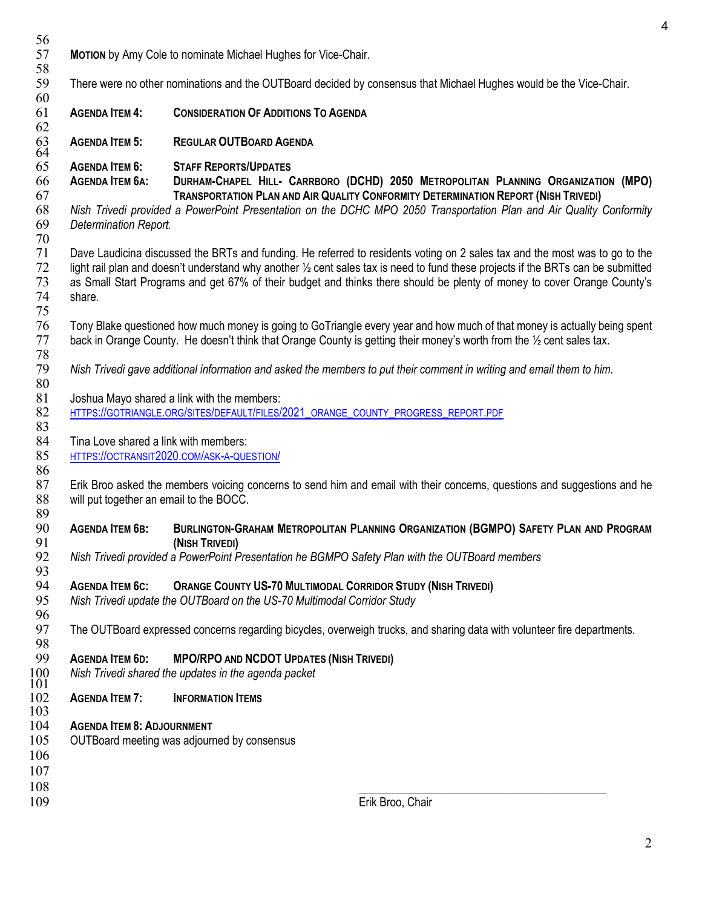56<br>57 **MOTION** by Amy Cole to nominate Michael Hughes for Vice-Chair. 58<br>59 There were no other nominations and the OUTBoard decided by consensus that Michael Hughes would be the Vice-Chair. 60 61 **AGENDA ITEM 4: CONSIDERATION OF ADDITIONS TO AGENDA** 62 63 **AGENDA ITEM 5: REGULAR OUTBOARD AGENDA**  $63$ <br> $64$ <br> $65$ 65 **AGENDA ITEM 6: STAFF REPORTS/UPDATES**  66 **AGENDA ITEM 6A: DURHAM-CHAPEL HILL- CARRBORO (DCHD) 2050 METROPOLITAN PLANNING ORGANIZATION (MPO)** 67 **TRANSPORTATION PLAN AND AIR QUALITY CONFORMITY DETERMINATION REPORT (NISH TRIVEDI)**  68 *Nish Trivedi provided a PowerPoint Presentation on the DCHC MPO 2050 Transportation Plan and Air Quality Conformity*  69 *Determination Report.* 70 Dave Laudicina discussed the BRTs and funding. He referred to residents voting on 2 sales tax and the most was to go to the  $72$  light rail plan and doesn't understand why another  $\frac{1}{2}$  cent sales tax is need to fund these projects if the BRTs can be submitted  $73$  as Small Start Programs and get 67% of their budget and thinks there should 73 as Small Start Programs and get 67% of their budget and thinks there should be plenty of money to cover Orange County's share. 75 76 Tony Blake questioned how much money is going to GoTriangle every year and how much of that money is actually being spent<br>77 back in Orange County. He doesn't think that Orange County is getting their money's worth from back in Orange County. He doesn't think that Orange County is getting their money's worth from the 1/2 cent sales tax. 78 79 *Nish Trivedi gave additional information and asked the members to put their comment in writing and email them to him.*   $\begin{array}{c} 80 \\ 81 \end{array}$ Joshua Mayo shared a link with the members: 82 [HTTPS://GOTRIANGLE.ORG/SITES/DEFAULT/FILES/2021\\_ORANGE\\_COUNTY\\_PROGRESS\\_REPORT.PDF](https://gotriangle.org/sites/default/files/2021_orange_county_progress_report.pdf) 83<br>84 84 Tina Love shared a link with members:<br>85 HTTPS://OCTRANSIT2020.COM/ASK-A-QUE 85 [HTTPS://OCTRANSIT2020.COM/ASK-A-QUESTION/](https://octransit2020.com/ask-a-question/) 86 87 Erik Broo asked the members voicing concerns to send him and email with their concerns, questions and suggestions and he 88 will put together an email to the BOCC. 89<br>90 90 **AGENDA ITEM 6B: BURLINGTON-GRAHAM METROPOLITAN PLANNING ORGANIZATION (BGMPO) SAFETY PLAN AND PROGRAM**  91 **(NISH TRIVEDI)** 92 *Nish Trivedi provided a PowerPoint Presentation he BGMPO Safety Plan with the OUTBoard members* 93<br>94 94 **AGENDA ITEM 6C: ORANGE COUNTY US-70 MULTIMODAL CORRIDOR STUDY (NISH TRIVEDI)** 95 *Nish Trivedi update the OUTBoard on the US-70 Multimodal Corridor Study* 96<br>97 The OUTBoard expressed concerns regarding bicycles, overweigh trucks, and sharing data with volunteer fire departments. 98<br>99 99 **AGENDA ITEM 6D:** MPO/RPO AND NCDOT UPDATES (NISH TRIVEDI)<br>100 Nish Trivedi shared the updates in the agenda packet<br>101 <sup>100</sup>*Nish Trivedi shared the updates in the agenda packet* <sup>101</sup> **AGENDA ITEM 7: INFORMATION ITEMS**  $\frac{103}{104}$ **AGENDA ITEM 8: ADJOURNMENT** 105 OUTBoard meeting was adjourned by consensus 106 107 108 \_\_\_\_\_\_\_\_\_\_\_\_\_\_\_\_\_\_\_\_\_\_\_\_\_\_\_\_\_\_\_\_\_\_\_\_ 109 Erik Broo, Chair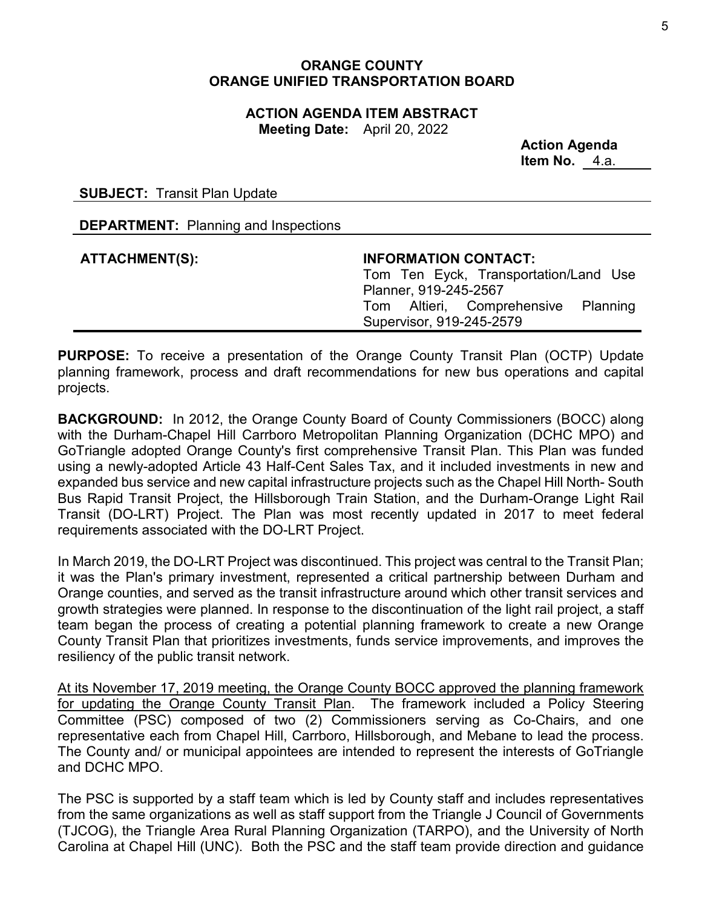### **ORANGE COUNTY ORANGE UNIFIED TRANSPORTATION BOARD**

**ACTION AGENDA ITEM ABSTRACT Meeting Date:** April 20, 2022

> **Action Agenda Item No.** 4.a.

<span id="page-4-0"></span>**SUBJECT:** Transit Plan Update

**DEPARTMENT:** Planning and Inspections

### **ATTACHMENT(S): INFORMATION CONTACT:**

Tom Ten Eyck, Transportation/Land Use Planner, 919-245-2567 Tom Altieri, Comprehensive Planning Supervisor, 919-245-2579

**PURPOSE:** To receive a presentation of the Orange County Transit Plan (OCTP) Update planning framework, process and draft recommendations for new bus operations and capital projects.

**BACKGROUND:** In 2012, the Orange County Board of County Commissioners (BOCC) along with the Durham-Chapel Hill Carrboro Metropolitan Planning Organization (DCHC MPO) and GoTriangle adopted Orange County's first comprehensive Transit Plan. This Plan was funded using a newly-adopted Article 43 Half-Cent Sales Tax, and it included investments in new and expanded bus service and new capital infrastructure projects such as the Chapel Hill North- South Bus Rapid Transit Project, the Hillsborough Train Station, and the Durham-Orange Light Rail Transit (DO-LRT) Project. The Plan was most recently updated in 2017 to meet federal requirements associated with the DO-LRT Project.

In March 2019, the DO-LRT Project was discontinued. This project was central to the Transit Plan; it was the Plan's primary investment, represented a critical partnership between Durham and Orange counties, and served as the transit infrastructure around which other transit services and growth strategies were planned. In response to the discontinuation of the light rail project, a staff team began the process of creating a potential planning framework to create a new Orange County Transit Plan that prioritizes investments, funds service improvements, and improves the resiliency of the public transit network.

At its November 17, 2019 meeting, the Orange County BOCC approved the planning framework for updating the Orange County Transit Plan. The framework included a Policy Steering Committee (PSC) composed of two (2) Commissioners serving as Co-Chairs, and one representative each from Chapel Hill, Carrboro, Hillsborough, and Mebane to lead the process. The County and/ or municipal appointees are intended to represent the interests of GoTriangle and DCHC MPO.

The PSC is supported by a staff team which is led by County staff and includes representatives from the same organizations as well as staff support from the Triangle J Council of Governments (TJCOG), the Triangle Area Rural Planning Organization (TARPO), and the University of North Carolina at Chapel Hill (UNC). Both the PSC and the staff team provide direction and guidance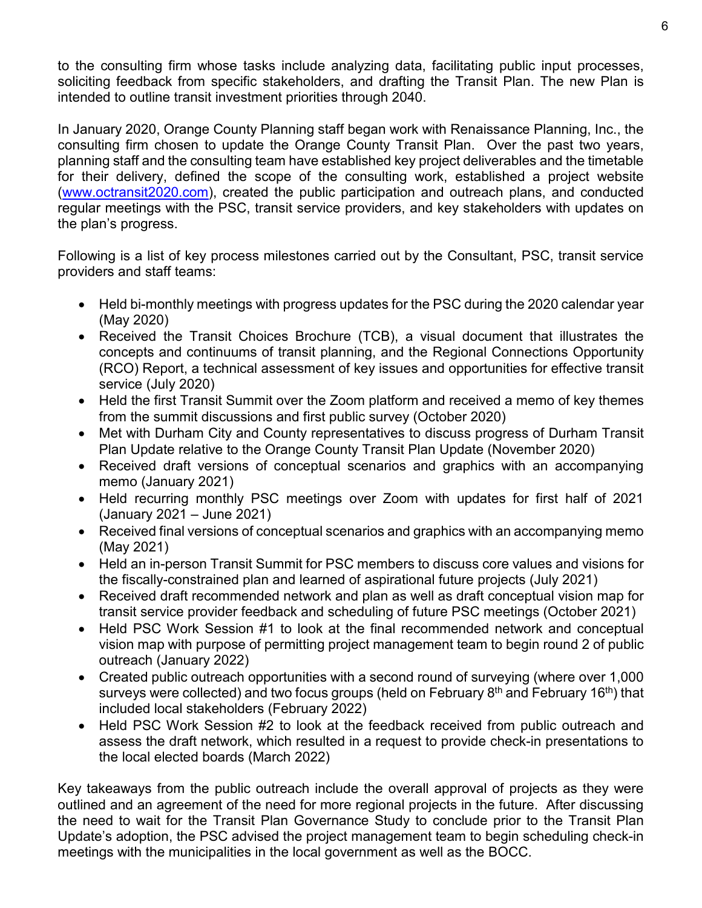to the consulting firm whose tasks include analyzing data, facilitating public input processes, soliciting feedback from specific stakeholders, and drafting the Transit Plan. The new Plan is intended to outline transit investment priorities through 2040.

In January 2020, Orange County Planning staff began work with Renaissance Planning, Inc., the consulting firm chosen to update the Orange County Transit Plan. Over the past two years, planning staff and the consulting team have established key project deliverables and the timetable for their delivery, defined the scope of the consulting work, established a project website [\(www.octransit2020.com\)](http://www.octransit2020.com/), created the public participation and outreach plans, and conducted regular meetings with the PSC, transit service providers, and key stakeholders with updates on the plan's progress.

Following is a list of key process milestones carried out by the Consultant, PSC, transit service providers and staff teams:

- Held bi-monthly meetings with progress updates for the PSC during the 2020 calendar year (May 2020)
- Received the Transit Choices Brochure (TCB), a visual document that illustrates the concepts and continuums of transit planning, and the Regional Connections Opportunity (RCO) Report, a technical assessment of key issues and opportunities for effective transit service (July 2020)
- Held the first Transit Summit over the Zoom platform and received a memo of key themes from the summit discussions and first public survey (October 2020)
- Met with Durham City and County representatives to discuss progress of Durham Transit Plan Update relative to the Orange County Transit Plan Update (November 2020)
- Received draft versions of conceptual scenarios and graphics with an accompanying memo (January 2021)
- Held recurring monthly PSC meetings over Zoom with updates for first half of 2021 (January 2021 – June 2021)
- Received final versions of conceptual scenarios and graphics with an accompanying memo (May 2021)
- Held an in-person Transit Summit for PSC members to discuss core values and visions for the fiscally-constrained plan and learned of aspirational future projects (July 2021)
- Received draft recommended network and plan as well as draft conceptual vision map for transit service provider feedback and scheduling of future PSC meetings (October 2021)
- Held PSC Work Session #1 to look at the final recommended network and conceptual vision map with purpose of permitting project management team to begin round 2 of public outreach (January 2022)
- Created public outreach opportunities with a second round of surveying (where over 1,000 surveys were collected) and two focus groups (held on February  $8<sup>th</sup>$  and February 16<sup>th</sup>) that included local stakeholders (February 2022)
- Held PSC Work Session #2 to look at the feedback received from public outreach and assess the draft network, which resulted in a request to provide check-in presentations to the local elected boards (March 2022)

Key takeaways from the public outreach include the overall approval of projects as they were outlined and an agreement of the need for more regional projects in the future. After discussing the need to wait for the Transit Plan Governance Study to conclude prior to the Transit Plan Update's adoption, the PSC advised the project management team to begin scheduling check-in meetings with the municipalities in the local government as well as the BOCC.